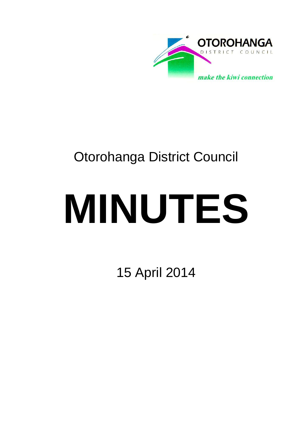

# Otorohanga District Council

# **MINUTES**

15 April 2014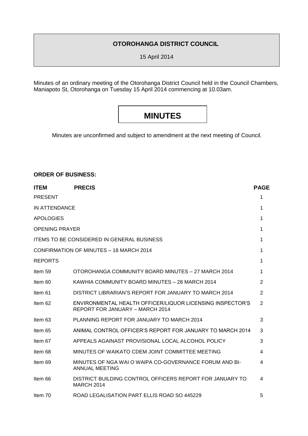# **OTOROHANGA DISTRICT COUNCIL**

15 April 2014

Minutes of an ordinary meeting of the Otorohanga District Council held in the Council Chambers, Maniapoto St, Otorohanga on Tuesday 15 April 2014 commencing at 10.03am.

# **MINUTES**

Minutes are unconfirmed and subject to amendment at the next meeting of Council.

# **ORDER OF BUSINESS:**

| <b>ITEM</b>           | <b>PRECIS</b>                                                                                | <b>PAGE</b>    |
|-----------------------|----------------------------------------------------------------------------------------------|----------------|
| <b>PRESENT</b>        |                                                                                              | 1              |
| IN ATTENDANCE         |                                                                                              | 1              |
| <b>APOLOGIES</b>      |                                                                                              | 1              |
| <b>OPENING PRAYER</b> |                                                                                              | 1              |
|                       | <b>ITEMS TO BE CONSIDERED IN GENERAL BUSINESS</b>                                            | 1              |
|                       | CONFIRMATION OF MINUTES - 18 MARCH 2014                                                      | 1              |
| <b>REPORTS</b>        |                                                                                              | 1              |
| Item 59               | OTOROHANGA COMMUNITY BOARD MINUTES - 27 MARCH 2014                                           | 1              |
| Item 60               | KAWHIA COMMUNITY BOARD MINUTES - 28 MARCH 2014                                               | 2              |
| Item 61               | DISTRICT LIBRARIAN'S REPORT FOR JANUARY TO MARCH 2014                                        | $\overline{2}$ |
| Item 62               | ENVIRONMENTAL HEALTH OFFICER/LIQUOR LICENSING INSPECTOR'S<br>REPORT FOR JANUARY - MARCH 2014 | $\overline{2}$ |
| Item 63               | PLANNING REPORT FOR JANUARY TO MARCH 2014                                                    | 3              |
| Item 65               | ANIMAL CONTROL OFFICER'S REPORT FOR JANUARY TO MARCH 2014                                    | 3              |
| Item 67               | APPEALS AGAINAST PROVISIONAL LOCAL ALCOHOL POLICY                                            | 3              |
| Item 68               | MINUTES OF WAIKATO CDEM JOINT COMMITTEE MEETING                                              | 4              |
| Item 69               | MINUTES OF NGA WAI O WAIPA CO-GOVERNANCE FORUM AND BI-<br>ANNUAL MEETING                     | 4              |
| Item 66               | DISTRICT BUILDING CONTROL OFFICERS REPORT FOR JANUARY TO<br><b>MARCH 2014</b>                | 4              |
| Item 70               | ROAD LEGALISATION PART ELLIS ROAD SO 445229                                                  | 5              |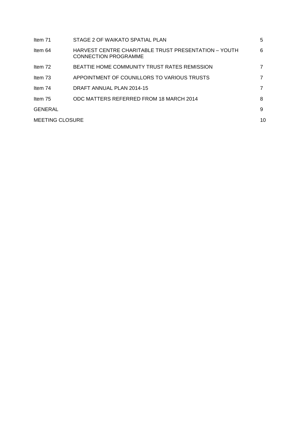| Item 71                | STAGE 2 OF WAIKATO SPATIAL PLAN                                                     | 5 |  |  |
|------------------------|-------------------------------------------------------------------------------------|---|--|--|
| Item 64                | HARVEST CENTRE CHARITABLE TRUST PRESENTATION - YOUTH<br><b>CONNECTION PROGRAMME</b> | 6 |  |  |
| Item 72                | BEATTIE HOME COMMUNITY TRUST RATES REMISSION                                        |   |  |  |
| Item 73                | APPOINTMENT OF COUNILLORS TO VARIOUS TRUSTS                                         |   |  |  |
| Item 74                | DRAFT ANNUAL PLAN 2014-15                                                           |   |  |  |
| Item 75                | ODC MATTERS REFERRED FROM 18 MARCH 2014                                             | 8 |  |  |
| GENERAL                |                                                                                     | 9 |  |  |
| <b>MEETING CLOSURE</b> |                                                                                     |   |  |  |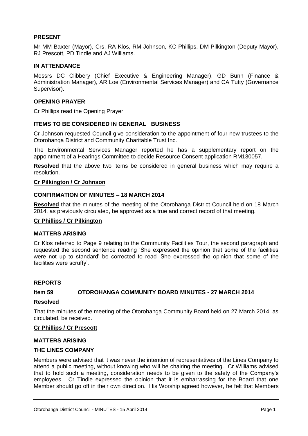# **PRESENT**

Mr MM Baxter (Mayor), Crs, RA Klos, RM Johnson, KC Phillips, DM Pilkington (Deputy Mayor), RJ Prescott, PD Tindle and AJ Williams.

# **IN ATTENDANCE**

Messrs DC Clibbery (Chief Executive & Engineering Manager), GD Bunn (Finance & Administration Manager), AR Loe (Environmental Services Manager) and CA Tutty (Governance Supervisor).

# **OPENING PRAYER**

Cr Phillips read the Opening Prayer.

# **ITEMS TO BE CONSIDERED IN GENERAL BUSINESS**

Cr Johnson requested Council give consideration to the appointment of four new trustees to the Otorohanga District and Community Charitable Trust Inc.

The Environmental Services Manager reported he has a supplementary report on the appointment of a Hearings Committee to decide Resource Consent application RM130057.

**Resolved** that the above two items be considered in general business which may require a resolution.

#### **Cr Pilkington / Cr Johnson**

#### **CONFIRMATION OF MINUTES – 18 MARCH 2014**

**Resolved** that the minutes of the meeting of the Otorohanga District Council held on 18 March 2014, as previously circulated, be approved as a true and correct record of that meeting.

#### **Cr Phillips / Cr Pilkington**

#### **MATTERS ARISING**

Cr Klos referred to Page 9 relating to the Community Facilities Tour, the second paragraph and requested the second sentence reading 'She expressed the opinion that some of the facilities were not up to standard' be corrected to read 'She expressed the opinion that some of the facilities were scruffy'.

#### **REPORTS**

#### **Item 59 OTOROHANGA COMMUNITY BOARD MINUTES - 27 MARCH 2014**

#### **Resolved**

That the minutes of the meeting of the Otorohanga Community Board held on 27 March 2014, as circulated, be received.

## **Cr Phillips / Cr Prescott**

#### **MATTERS ARISING**

# **THE LINES COMPANY**

Members were advised that it was never the intention of representatives of the Lines Company to attend a public meeting, without knowing who will be chairing the meeting. Cr Williams advised that to hold such a meeting, consideration needs to be given to the safety of the Company's employees. Cr Tindle expressed the opinion that it is embarrassing for the Board that one Member should go off in their own direction. His Worship agreed however, he felt that Members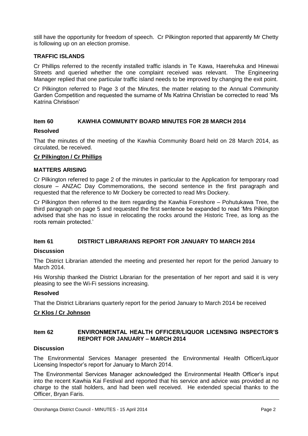still have the opportunity for freedom of speech. Cr Pilkington reported that apparently Mr Chetty is following up on an election promise.

# **TRAFFIC ISLANDS**

Cr Phillips referred to the recently installed traffic islands in Te Kawa, Haerehuka and Hinewai Streets and queried whether the one complaint received was relevant. The Engineering Manager replied that one particular traffic island needs to be improved by changing the exit point.

Cr Pilkington referred to Page 3 of the Minutes, the matter relating to the Annual Community Garden Competition and requested the surname of Ms Katrina Christian be corrected to read 'Ms Katrina Christison'

# **Item 60 KAWHIA COMMUNITY BOARD MINUTES FOR 28 MARCH 2014**

#### **Resolved**

That the minutes of the meeting of the Kawhia Community Board held on 28 March 2014, as circulated, be received.

# **Cr Pilkington / Cr Phillips**

#### **MATTERS ARISING**

Cr Pilkington referred to page 2 of the minutes in particular to the Application for temporary road closure – ANZAC Day Commemorations, the second sentence in the first paragraph and requested that the reference to Mr Dockery be corrected to read Mrs Dockery.

Cr Pilkington then referred to the item regarding the Kawhia Foreshore – Pohutukawa Tree, the third paragraph on page 5 and requested the first sentence be expanded to read 'Mrs Pilkington advised that she has no issue in relocating the rocks around the Historic Tree, as long as the roots remain protected.'

# **Item 61 DISTRICT LIBRARIANS REPORT FOR JANUARY TO MARCH 2014**

#### **Discussion**

The District Librarian attended the meeting and presented her report for the period January to March 2014.

His Worship thanked the District Librarian for the presentation of her report and said it is very pleasing to see the Wi-Fi sessions increasing.

#### **Resolved**

That the District Librarians quarterly report for the period January to March 2014 be received

# **Cr Klos / Cr Johnson**

# **Item 62 ENVIRONMENTAL HEALTH OFFICER/LIQUOR LICENSING INSPECTOR'S REPORT FOR JANUARY – MARCH 2014**

#### **Discussion**

The Environmental Services Manager presented the Environmental Health Officer/Liquor Licensing Inspector's report for January to March 2014.

The Environmental Services Manager acknowledged the Environmental Health Officer's input into the recent Kawhia Kai Festival and reported that his service and advice was provided at no charge to the stall holders, and had been well received. He extended special thanks to the Officer, Bryan Faris.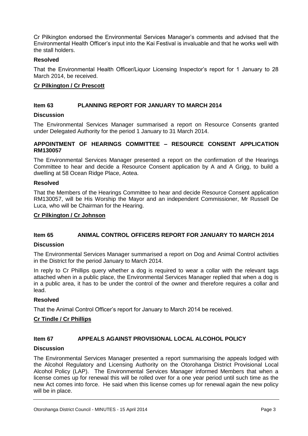Cr Pilkington endorsed the Environmental Services Manager's comments and advised that the Environmental Health Officer's input into the Kai Festival is invaluable and that he works well with the stall holders.

# **Resolved**

That the Environmental Health Officer/Liquor Licensing Inspector's report for 1 January to 28 March 2014, be received.

# **Cr Pilkington / Cr Prescott**

# **Item 63 PLANNING REPORT FOR JANUARY TO MARCH 2014**

#### **Discussion**

The Environmental Services Manager summarised a report on Resource Consents granted under Delegated Authority for the period 1 January to 31 March 2014.

# **APPOINTMENT OF HEARINGS COMMITTEE – RESOURCE CONSENT APPLICATION RM130057**

The Environmental Services Manager presented a report on the confirmation of the Hearings Committee to hear and decide a Resource Consent application by A and A Grigg, to build a dwelling at 58 Ocean Ridge Place, Aotea.

#### **Resolved**

That the Members of the Hearings Committee to hear and decide Resource Consent application RM130057, will be His Worship the Mayor and an independent Commissioner, Mr Russell De Luca, who will be Chairman for the Hearing.

# **Cr Pilkington / Cr Johnson**

# **Item 65 ANIMAL CONTROL OFFICERS REPORT FOR JANUARY TO MARCH 2014**

# **Discussion**

The Environmental Services Manager summarised a report on Dog and Animal Control activities in the District for the period January to March 2014.

In reply to Cr Phillips query whether a dog is required to wear a collar with the relevant tags attached when in a public place, the Environmental Services Manager replied that when a dog is in a public area, it has to be under the control of the owner and therefore requires a collar and lead.

# **Resolved**

That the Animal Control Officer's report for January to March 2014 be received.

# **Cr Tindle / Cr Phillips**

# **Item 67 APPEALS AGAINST PROVISIONAL LOCAL ALCOHOL POLICY**

#### **Discussion**

The Environmental Services Manager presented a report summarising the appeals lodged with the Alcohol Regulatory and Licensing Authority on the Otorohanga District Provisional Local Alcohol Policy (LAP). The Environmental Services Manager informed Members that when a license comes up for renewal this will be rolled over for a one year period until such time as the new Act comes into force. He said when this license comes up for renewal again the new policy will be in place.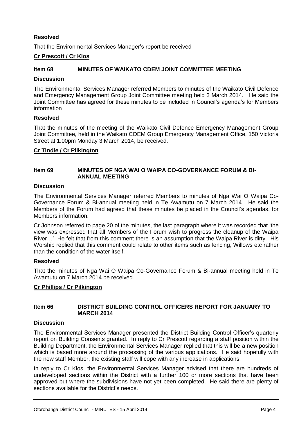# **Resolved**

That the Environmental Services Manager's report be received

# **Cr Prescott / Cr Klos**

# **Item 68 MINUTES OF WAIKATO CDEM JOINT COMMITTEE MEETING**

# **Discussion**

The Environmental Services Manager referred Members to minutes of the Waikato Civil Defence and Emergency Management Group Joint Committee meeting held 3 March 2014. He said the Joint Committee has agreed for these minutes to be included in Council's agenda's for Members information

#### **Resolved**

That the minutes of the meeting of the Waikato Civil Defence Emergency Management Group Joint Committee, held in the Waikato CDEM Group Emergency Management Office, 150 Victoria Street at 1.00pm Monday 3 March 2014, be received.

# **Cr Tindle / Cr Pilkington**

# **Item 69 MINUTES OF NGA WAI O WAIPA CO-GOVERNANCE FORUM & BI-ANNUAL MEETING**

# **Discussion**

The Environmental Services Manager referred Members to minutes of Nga Wai O Waipa Co-Governance Forum & Bi-annual meeting held in Te Awamutu on 7 March 2014. He said the Members of the Forum had agreed that these minutes be placed in the Council's agendas, for Members information.

Cr Johnson referred to page 20 of the minutes, the last paragraph where it was recorded that 'the view was expressed that all Members of the Forum wish to progress the cleanup of the Waipa River…' He felt that from this comment there is an assumption that the Waipa River is dirty. His Worship replied that this comment could relate to other items such as fencing, Willows etc rather than the condition of the water itself.

# **Resolved**

That the minutes of Nga Wai O Waipa Co-Governance Forum & Bi-annual meeting held in Te Awamutu on 7 March 2014 be received.

# **Cr Phillips / Cr Pilkington**

# **Item 66 DISTRICT BUILDING CONTROL OFFICERS REPORT FOR JANUARY TO MARCH 2014**

#### **Discussion**

The Environmental Services Manager presented the District Building Control Officer's quarterly report on Building Consents granted. In reply to Cr Prescott regarding a staff position within the Building Department, the Environmental Services Manager replied that this will be a new position which is based more around the processing of the various applications. He said hopefully with the new staff Member, the existing staff will cope with any increase in applications.

In reply to Cr Klos, the Environmental Services Manager advised that there are hundreds of undeveloped sections within the District with a further 100 or more sections that have been approved but where the subdivisions have not yet been completed. He said there are plenty of sections available for the District's needs.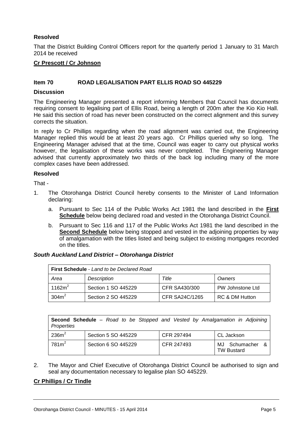# **Resolved**

That the District Building Control Officers report for the quarterly period 1 January to 31 March 2014 be received

# **Cr Prescott / Cr Johnson**

# **Item 70 ROAD LEGALISATION PART ELLIS ROAD SO 445229**

#### **Discussion**

The Engineering Manager presented a report informing Members that Council has documents requiring consent to legalising part of Ellis Road, being a length of 200m after the Kio Kio Hall. He said this section of road has never been constructed on the correct alignment and this survey corrects the situation.

In reply to Cr Phillips regarding when the road alignment was carried out, the Engineering Manager replied this would be at least 20 years ago. Cr Phillips queried why so long. The Engineering Manager advised that at the time, Council was eager to carry out physical works however, the legalisation of these works was never completed. The Engineering Manager advised that currently approximately two thirds of the back log including many of the more complex cases have been addressed.

#### **Resolved**

That -

- 1. The Otorohanga District Council hereby consents to the Minister of Land Information declaring:
	- a. Pursuant to Sec 114 of the Public Works Act 1981 the land described in the **First Schedule** below being declared road and vested in the Otorohanga District Council.
	- b. Pursuant to Sec 116 and 117 of the Public Works Act 1981 the land described in the **Second Schedule** below being stopped and vested in the adjoining properties by way of amalgamation with the titles listed and being subject to existing mortgages recorded on the titles.

#### *South Auckland Land District – Otorohanga District*

| <b>First Schedule</b> - Land to be Declared Road |                     |                |                  |  |  |  |  |
|--------------------------------------------------|---------------------|----------------|------------------|--|--|--|--|
| Area                                             | Description         | Title          | Owners           |  |  |  |  |
| 1162 $m2$                                        | Section 1 SO 445229 | CFR SA430/300  | PW Johnstone Ltd |  |  |  |  |
| 304m <sup>2</sup>                                | Section 2 SO 445229 | CFR SA24C/1265 | RC & DM Hutton   |  |  |  |  |

|            |  |  |  |  | <b>Second Schedule</b> – Road to be Stopped and Vested by Amalgamation in Adjoining |  |
|------------|--|--|--|--|-------------------------------------------------------------------------------------|--|
| Properties |  |  |  |  |                                                                                     |  |

| 236m <sup>2</sup> | Section 5 SO 445229 | CFR 297494 | CL Jackson                             |  |  |
|-------------------|---------------------|------------|----------------------------------------|--|--|
| 781m <sup>2</sup> | Section 6 SO 445229 | CFR 247493 | Schumacher<br>MJ.<br><b>TW Bustard</b> |  |  |

2. The Mayor and Chief Executive of Otorohanga District Council be authorised to sign and seal any documentation necessary to legalise plan SO 445229.

# **Cr Phillips / Cr Tindle**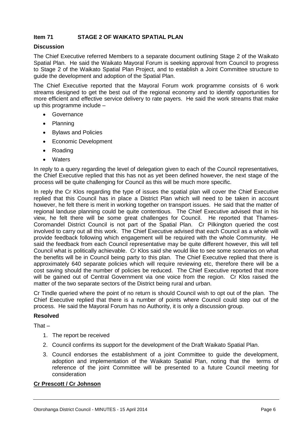# **Item 71 STAGE 2 OF WAIKATO SPATIAL PLAN**

# **Discussion**

The Chief Executive referred Members to a separate document outlining Stage 2 of the Waikato Spatial Plan. He said the Waikato Mayoral Forum is seeking approval from Council to progress to Stage 2 of the Waikato Spatial Plan Project, and to establish a Joint Committee structure to guide the development and adoption of the Spatial Plan.

The Chief Executive reported that the Mayoral Forum work programme consists of 6 work streams designed to get the best out of the regional economy and to identify opportunities for more efficient and effective service delivery to rate payers. He said the work streams that make up this programme include –

- Governance
- Planning
- Bylaws and Policies
- Economic Development
- Roading
- Waters

In reply to a query regarding the level of delegation given to each of the Council representatives, the Chief Executive replied that this has not as yet been defined however, the next stage of the process will be quite challenging for Council as this will be much more specific.

In reply the Cr Klos regarding the type of issues the spatial plan will cover the Chief Executive replied that this Council has in place a District Plan which will need to be taken in account however, he felt there is merit in working together on transport issues. He said that the matter of regional landuse planning could be quite contentious. The Chief Executive advised that in his view, he felt there will be some great challenges for Council. He reported that Thames-Coromandel District Council is not part of the Spatial Plan. Cr Pilkington queried the cost involved to carry out all this work. The Chief Executive advised that each Council as a whole will provide feedback following which engagement will be required with the whole Community. He said the feedback from each Council representative may be quite different however, this will tell Council what is politically achievable. Cr Klos said she would like to see some scenarios on what the benefits will be in Council being party to this plan. The Chief Executive replied that there is approximately 640 separate policies which will require reviewing etc, therefore there will be a cost saving should the number of policies be reduced. The Chief Executive reported that more will be gained out of Central Government via one voice from the region. Cr Klos raised the matter of the two separate sectors of the District being rural and urban.

Cr Tindle queried where the point of no return is should Council wish to opt out of the plan. The Chief Executive replied that there is a number of points where Council could step out of the process. He said the Mayoral Forum has no Authority, it is only a discussion group.

#### **Resolved**

That –

- 1. The report be received
- 2. Council confirms its support for the development of the Draft Waikato Spatial Plan.
- 3. Council endorses the establishment of a joint Committee to guide the development, adoption and implementation of the Waikato Spatial Plan, noting that the terms of reference of the joint Committee will be presented to a future Council meeting for consideration

# **Cr Prescott / Cr Johnson**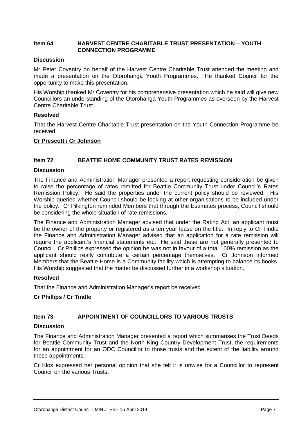# **Item 64 HARVEST CENTRE CHARITABLE TRUST PRESENTATION – YOUTH CONNECTION PROGRAMME**

# **Discussion**

Mr Peter Coventry on behalf of the Harvest Centre Charitable Trust attended the meeting and made a presentation on the Otorohanga Youth Programmes. He thanked Council for the opportunity to make this presentation.

His Worship thanked Mr Coventry for his comprehensive presentation which he said will give new Councillors an understanding of the Otorohanga Youth Programmes as overseen by the Harvest Centre Charitable Trust.

# **Resolved**

That the Harvest Centre Charitable Trust presentation on the Youth Connection Programme be received.

# **Cr Prescott / Cr Johnson**

# **Item 72 BEATTIE HOME COMMUNITY TRUST RATES REMISSION**

#### **Discussion**

The Finance and Administration Manager presented a report requesting consideration be given to raise the percentage of rates remitted for Beattie Community Trust under Council's Rates Remission Policy. He said the properties under the current policy should be reviewed. His Worship queried whether Council should be looking at other organisations to be included under the policy. Cr Pilkington reminded Members that through the Estimates process, Council should be considering the whole situation of rate remissions.

The Finance and Administration Manager advised that under the Rating Act, an applicant must be the owner of the property or registered as a ten year lease on the title. In reply to Cr Tindle the Finance and Administration Manager advised that an application for a rate remission will require the applicant's financial statements etc. He said these are not generally presented to Council. Cr Phillips expressed the opinion he was not in favour of a total 100% remission as the applicant should really contribute a certain percentage themselves. Cr Johnson informed Members that the Beattie Home is a Community facility which is attempting to balance its books. His Worship suggested that the matter be discussed further in a workshop situation.

#### **Resolved**

That the Finance and Administration Manager's report be received

# **Cr Phillips / Cr Tindle**

# **Item 73 APPOINTMENT OF COUNCILLORS TO VARIOUS TRUSTS**

#### **Discussion**

The Finance and Administration Manager presented a report which summarises the Trust Deeds for Beattie Community Trust and the North King Country Development Trust, the requirements for an appointment for an ODC Councillor to those trusts and the extent of the liability around these appointments.

Cr Klos expressed her personal opinion that she felt it is unwise for a Councillor to represent Council on the various Trusts.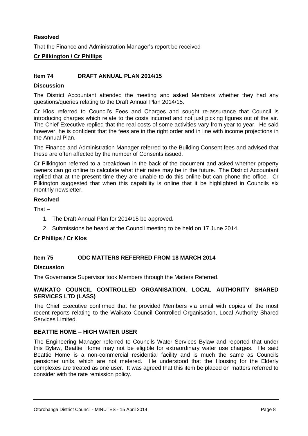# **Resolved**

That the Finance and Administration Manager's report be received

# **Cr Pilkington / Cr Phillips**

# **Item 74 DRAFT ANNUAL PLAN 2014/15**

# **Discussion**

The District Accountant attended the meeting and asked Members whether they had any questions/queries relating to the Draft Annual Plan 2014/15.

Cr Klos referred to Council's Fees and Charges and sought re-assurance that Council is introducing charges which relate to the costs incurred and not just picking figures out of the air. The Chief Executive replied that the real costs of some activities vary from year to year. He said however, he is confident that the fees are in the right order and in line with income projections in the Annual Plan.

The Finance and Administration Manager referred to the Building Consent fees and advised that these are often affected by the number of Consents issued.

Cr Pilkington referred to a breakdown in the back of the document and asked whether property owners can go online to calculate what their rates may be in the future. The District Accountant replied that at the present time they are unable to do this online but can phone the office. Cr Pilkington suggested that when this capability is online that it be highlighted in Councils six monthly newsletter.

#### **Resolved**

That –

- 1. The Draft Annual Plan for 2014/15 be approved.
- 2. Submissions be heard at the Council meeting to be held on 17 June 2014.

# **Cr Phillips / Cr Klos**

# **Item 75 ODC MATTERS REFERRED FROM 18 MARCH 2014**

#### **Discussion**

The Governance Supervisor took Members through the Matters Referred.

# **WAIKATO COUNCIL CONTROLLED ORGANISATION, LOCAL AUTHORITY SHARED SERVICES LTD (LASS)**

The Chief Executive confirmed that he provided Members via email with copies of the most recent reports relating to the Waikato Council Controlled Organisation, Local Authority Shared Services Limited.

# **BEATTIE HOME – HIGH WATER USER**

The Engineering Manager referred to Councils Water Services Bylaw and reported that under this Bylaw, Beattie Home may not be eligible for extraordinary water use charges. He said Beattie Home is a non-commercial residential facility and is much the same as Councils pensioner units, which are not metered. He understood that the Housing for the Elderly complexes are treated as one user. It was agreed that this item be placed on matters referred to consider with the rate remission policy.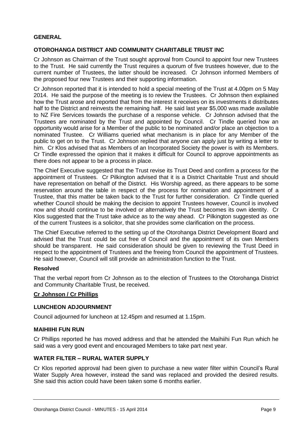# **GENERAL**

# **OTOROHANGA DISTRICT AND COMMUNITY CHARITABLE TRUST INC**

Cr Johnson as Chairman of the Trust sought approval from Council to appoint four new Trustees to the Trust. He said currently the Trust requires a quorum of five trustees however, due to the current number of Trustees, the latter should be increased. Cr Johnson informed Members of the proposed four new Trustees and their supporting information.

Cr Johnson reported that it is intended to hold a special meeting of the Trust at 4.00pm on 5 May 2014. He said the purpose of the meeting is to review the Trustees. Cr Johnson then explained how the Trust arose and reported that from the interest it receives on its investments it distributes half to the District and reinvests the remaining half. He said last year \$5,000 was made available to NZ Fire Services towards the purchase of a response vehicle. Cr Johnson advised that the Trustees are nominated by the Trust and appointed by Council. Cr Tindle queried how an opportunity would arise for a Member of the public to be nominated and/or place an objection to a nominated Trustee. Cr Williams queried what mechanism is in place for any Member of the public to get on to the Trust. Cr Johnson replied that anyone can apply just by writing a letter to him. Cr Klos advised that as Members of an Incorporated Society the power is with its Members. Cr Tindle expressed the opinion that it makes it difficult for Council to approve appointments as there does not appear to be a process in place.

The Chief Executive suggested that the Trust revise its Trust Deed and confirm a process for the appointment of Trustees. Cr Pilkington advised that it is a District Charitable Trust and should have representation on behalf of the District. His Worship agreed, as there appears to be some reservation around the table in respect of the process for nomination and appointment of a Trustee, that this matter be taken back to the Trust for further consideration. Cr Tindle queried whether Council should be making the decision to appoint Trustees however, Council is involved now and should continue to be involved or alternatively the Trust becomes its own identity. Cr Klos suggested that the Trust take advice as to the way ahead. Cr Pilkington suggested as one of the current Trustees is a solicitor, that she provides some clarification on the process.

The Chief Executive referred to the setting up of the Otorohanga District Development Board and advised that the Trust could be cut free of Council and the appointment of its own Members should be transparent. He said consideration should be given to reviewing the Trust Deed in respect to the appointment of Trustees and the freeing from Council the appointment of Trustees. He said however, Council will still provide an administration function to the Trust.

# **Resolved**

That the verbal report from Cr Johnson as to the election of Trustees to the Otorohanga District and Community Charitable Trust, be received.

# **Cr Johnson / Cr Phillips**

#### **LUNCHEON ADJOURNMENT**

Council adjourned for luncheon at 12.45pm and resumed at 1.15pm.

#### **MAIHIIHI FUN RUN**

Cr Phillips reported he has moved address and that he attended the Maihiihi Fun Run which he said was a very good event and encouraged Members to take part next year.

# **WATER FILTER – RURAL WATER SUPPLY**

Cr Klos reported approval had been given to purchase a new water filter within Council's Rural Water Supply Area however, instead the sand was replaced and provided the desired results. She said this action could have been taken some 6 months earlier.